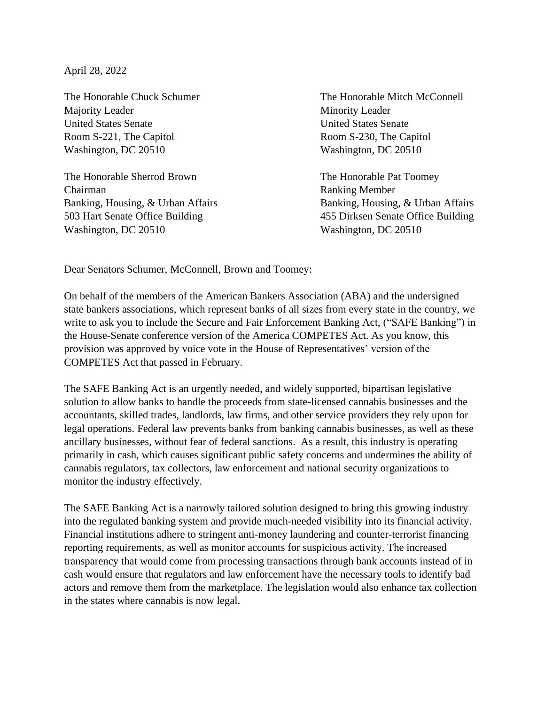April 28, 2022

Majority Leader Minority Leader United States Senate United States Senate Room S-221, The Capitol Room S-230, The Capitol Washington, DC 20510 Washington, DC 20510

The Honorable Sherrod Brown The Honorable Pat Toomey Chairman Ranking Member Washington, DC 20510 Washington, DC 20510

The Honorable Chuck Schumer The Honorable Mitch McConnell

Banking, Housing, & Urban Affairs Banking, Housing, & Urban Affairs 503 Hart Senate Office Building 455 Dirksen Senate Office Building

Dear Senators Schumer, McConnell, Brown and Toomey:

On behalf of the members of the American Bankers Association (ABA) and the undersigned state bankers associations, which represent banks of all sizes from every state in the country, we write to ask you to include the Secure and Fair Enforcement Banking Act, ("SAFE Banking") in the House-Senate conference version of the America COMPETES Act. As you know, this provision was approved by voice vote in the House of Representatives' version of the COMPETES Act that passed in February.

The SAFE Banking Act is an urgently needed, and widely supported, bipartisan legislative solution to allow banks to handle the proceeds from state-licensed cannabis businesses and the accountants, skilled trades, landlords, law firms, and other service providers they rely upon for legal operations. Federal law prevents banks from banking cannabis businesses, as well as these ancillary businesses, without fear of federal sanctions. As a result, this industry is operating primarily in cash, which causes significant public safety concerns and undermines the ability of cannabis regulators, tax collectors, law enforcement and national security organizations to monitor the industry effectively.

The SAFE Banking Act is a narrowly tailored solution designed to bring this growing industry into the regulated banking system and provide much-needed visibility into its financial activity. Financial institutions adhere to stringent anti-money laundering and counter-terrorist financing reporting requirements, as well as monitor accounts for suspicious activity. The increased transparency that would come from processing transactions through bank accounts instead of in cash would ensure that regulators and law enforcement have the necessary tools to identify bad actors and remove them from the marketplace. The legislation would also enhance tax collection in the states where cannabis is now legal.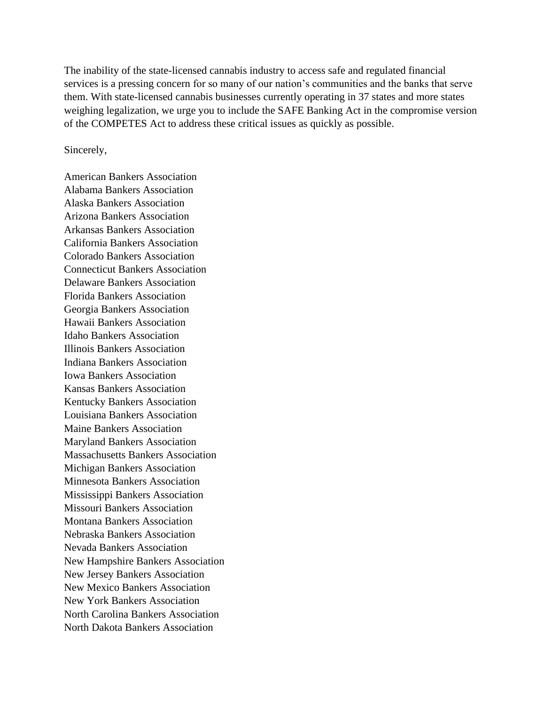The inability of the state-licensed cannabis industry to access safe and regulated financial services is a pressing concern for so many of our nation's communities and the banks that serve them. With state-licensed cannabis businesses currently operating in 37 states and more states weighing legalization, we urge you to include the SAFE Banking Act in the compromise version of the COMPETES Act to address these critical issues as quickly as possible.

Sincerely,

American Bankers Association Alabama Bankers Association Alaska Bankers Association Arizona Bankers Association Arkansas Bankers Association California Bankers Association Colorado Bankers Association Connecticut Bankers Association Delaware Bankers Association Florida Bankers Association Georgia Bankers Association Hawaii Bankers Association Idaho Bankers Association Illinois Bankers Association Indiana Bankers Association Iowa Bankers Association Kansas Bankers Association Kentucky Bankers Association Louisiana Bankers Association Maine Bankers Association Maryland Bankers Association Massachusetts Bankers Association Michigan Bankers Association Minnesota Bankers Association Mississippi Bankers Association Missouri Bankers Association Montana Bankers Association Nebraska Bankers Association Nevada Bankers Association New Hampshire Bankers Association New Jersey Bankers Association New Mexico Bankers Association New York Bankers Association North Carolina Bankers Association North Dakota Bankers Association